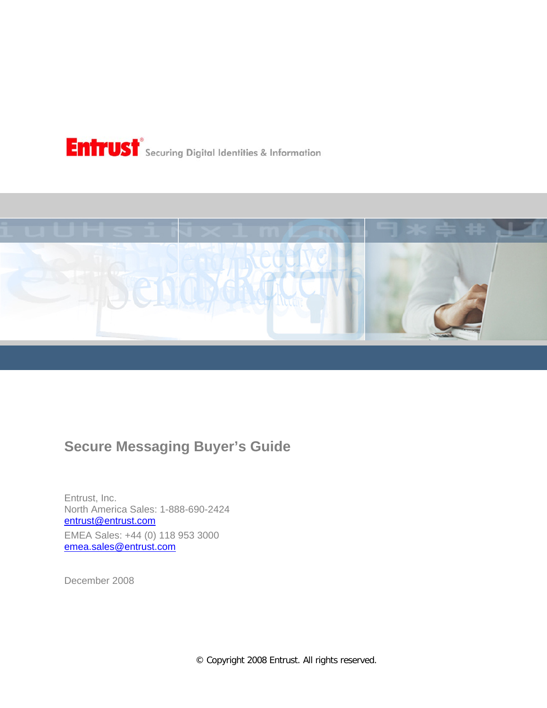



# **Secure Messaging Buyer's Guide**

Entrust, Inc. North America Sales: 1-888-690-2424 [entrust@entrust.com](mailto:entrust@entrust.com) EMEA Sales: +44 (0) 118 953 3000 [emea.sales@entrust.com](mailto:emea.sales@entrust.com)

December 2008

© Copyright 2008 Entrust. All rights reserved.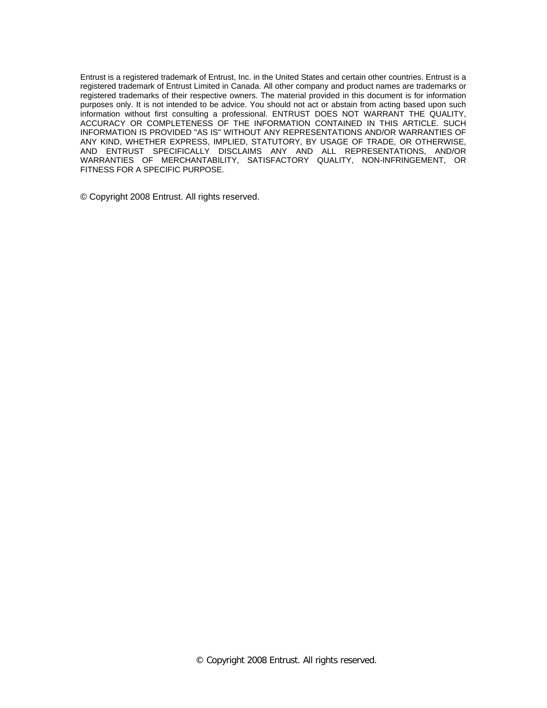Entrust is a registered trademark of Entrust, Inc. in the United States and certain other countries. Entrust is a registered trademark of Entrust Limited in Canada. All other company and product names are trademarks or registered trademarks of their respective owners. The material provided in this document is for information purposes only. It is not intended to be advice. You should not act or abstain from acting based upon such information without first consulting a professional. ENTRUST DOES NOT WARRANT THE QUALITY, ACCURACY OR COMPLETENESS OF THE INFORMATION CONTAINED IN THIS ARTICLE. SUCH INFORMATION IS PROVIDED "AS IS" WITHOUT ANY REPRESENTATIONS AND/OR WARRANTIES OF ANY KIND, WHETHER EXPRESS, IMPLIED, STATUTORY, BY USAGE OF TRADE, OR OTHERWISE, AND ENTRUST SPECIFICALLY DISCLAIMS ANY AND ALL REPRESENTATIONS, AND/OR WARRANTIES OF MERCHANTABILITY, SATISFACTORY QUALITY, NON-INFRINGEMENT, OR FITNESS FOR A SPECIFIC PURPOSE.

© Copyright 2008 Entrust. All rights reserved.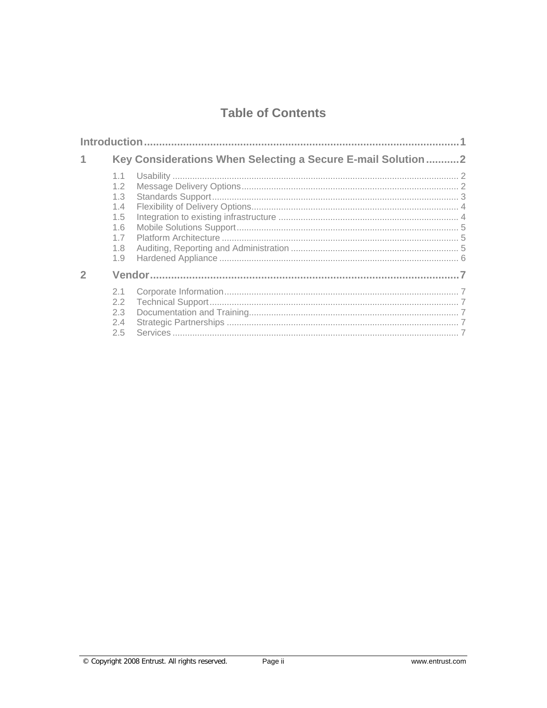## **Table of Contents**

|  |                                                             | Key Considerations When Selecting a Secure E-mail Solution2 |  |
|--|-------------------------------------------------------------|-------------------------------------------------------------|--|
|  | 1.1<br>1.2<br>1.3<br>1.4<br>1.5<br>1.6<br>1.7<br>1.8<br>1.9 |                                                             |  |
|  |                                                             |                                                             |  |
|  | 2.1<br>2.2<br>2.3<br>2.4<br>2.5                             |                                                             |  |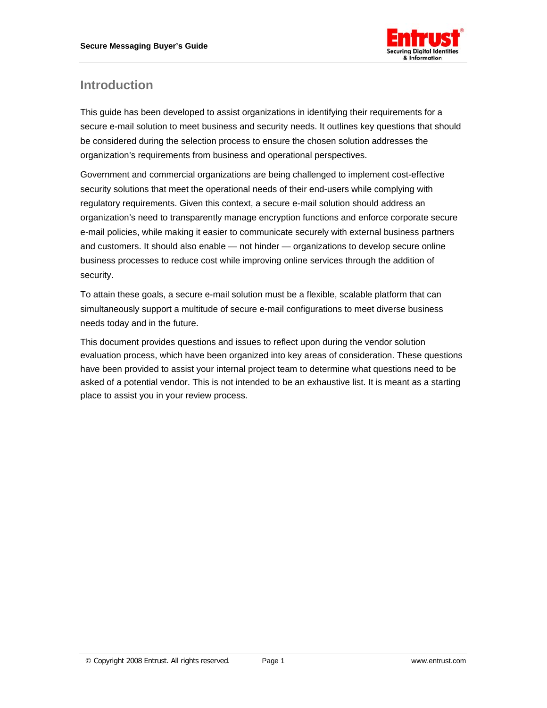

## <span id="page-3-0"></span>**Introduction**

This guide has been developed to assist organizations in identifying their requirements for a secure e-mail solution to meet business and security needs. It outlines key questions that should be considered during the selection process to ensure the chosen solution addresses the organization's requirements from business and operational perspectives.

Government and commercial organizations are being challenged to implement cost-effective security solutions that meet the operational needs of their end-users while complying with regulatory requirements. Given this context, a secure e-mail solution should address an organization's need to transparently manage encryption functions and enforce corporate secure e-mail policies, while making it easier to communicate securely with external business partners and customers. It should also enable — not hinder — organizations to develop secure online business processes to reduce cost while improving online services through the addition of security.

To attain these goals, a secure e-mail solution must be a flexible, scalable platform that can simultaneously support a multitude of secure e-mail configurations to meet diverse business needs today and in the future.

This document provides questions and issues to reflect upon during the vendor solution evaluation process, which have been organized into key areas of consideration. These questions have been provided to assist your internal project team to determine what questions need to be asked of a potential vendor. This is not intended to be an exhaustive list. It is meant as a starting place to assist you in your review process.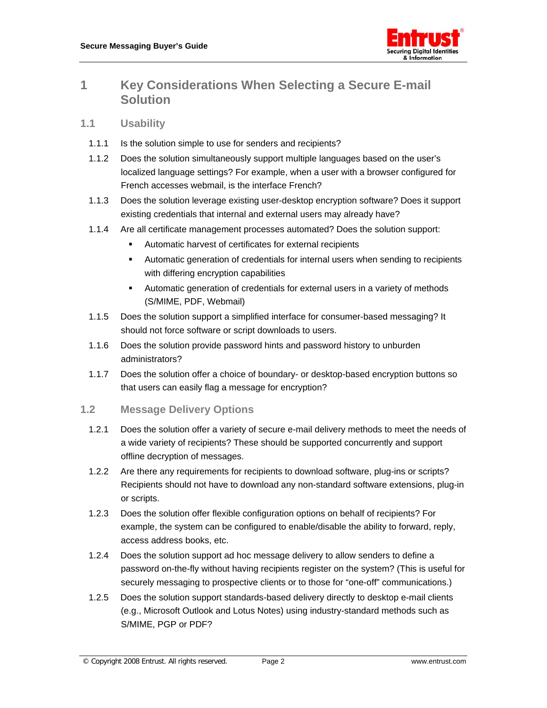

### <span id="page-4-0"></span>**1 Key Considerations When Selecting a Secure E-mail Solution**

#### **1.1 Usability**

- 1.1.1 Is the solution simple to use for senders and recipients?
- 1.1.2 Does the solution simultaneously support multiple languages based on the user's localized language settings? For example, when a user with a browser configured for French accesses webmail, is the interface French?
- 1.1.3 Does the solution leverage existing user-desktop encryption software? Does it support existing credentials that internal and external users may already have?
- 1.1.4 Are all certificate management processes automated? Does the solution support:
	- Automatic harvest of certificates for external recipients
	- Automatic generation of credentials for internal users when sending to recipients with differing encryption capabilities
	- Automatic generation of credentials for external users in a variety of methods (S/MIME, PDF, Webmail)
- 1.1.5 Does the solution support a simplified interface for consumer-based messaging? It should not force software or script downloads to users.
- 1.1.6 Does the solution provide password hints and password history to unburden administrators?
- 1.1.7 Does the solution offer a choice of boundary- or desktop-based encryption buttons so that users can easily flag a message for encryption?

#### **1.2 Message Delivery Options**

- 1.2.1 Does the solution offer a variety of secure e-mail delivery methods to meet the needs of a wide variety of recipients? These should be supported concurrently and support offline decryption of messages.
- 1.2.2 Are there any requirements for recipients to download software, plug-ins or scripts? Recipients should not have to download any non-standard software extensions, plug-in or scripts.
- 1.2.3 Does the solution offer flexible configuration options on behalf of recipients? For example, the system can be configured to enable/disable the ability to forward, reply, access address books, etc.
- 1.2.4 Does the solution support ad hoc message delivery to allow senders to define a password on-the-fly without having recipients register on the system? (This is useful for securely messaging to prospective clients or to those for "one-off" communications.)
- 1.2.5 Does the solution support standards-based delivery directly to desktop e-mail clients (e.g., Microsoft Outlook and Lotus Notes) using industry-standard methods such as S/MIME, PGP or PDF?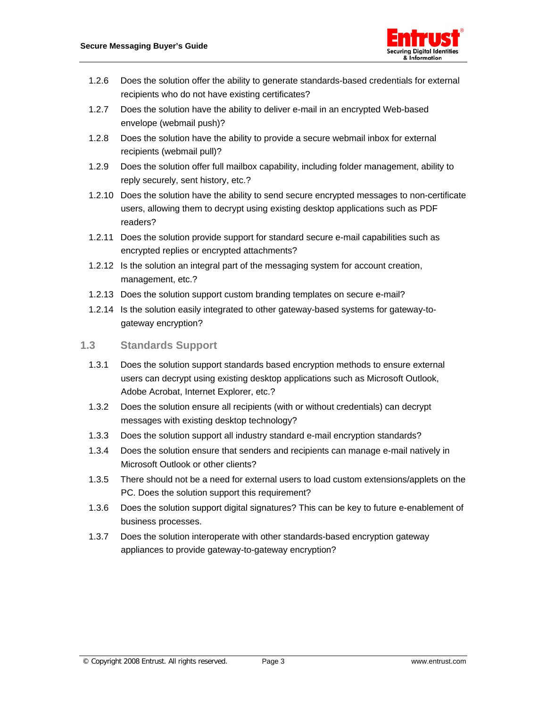

- <span id="page-5-0"></span>1.2.6 Does the solution offer the ability to generate standards-based credentials for external recipients who do not have existing certificates?
- 1.2.7 Does the solution have the ability to deliver e-mail in an encrypted Web-based envelope (webmail push)?
- 1.2.8 Does the solution have the ability to provide a secure webmail inbox for external recipients (webmail pull)?
- 1.2.9 Does the solution offer full mailbox capability, including folder management, ability to reply securely, sent history, etc.?
- 1.2.10 Does the solution have the ability to send secure encrypted messages to non-certificate users, allowing them to decrypt using existing desktop applications such as PDF readers?
- 1.2.11 Does the solution provide support for standard secure e-mail capabilities such as encrypted replies or encrypted attachments?
- 1.2.12 Is the solution an integral part of the messaging system for account creation, management, etc.?
- 1.2.13 Does the solution support custom branding templates on secure e-mail?
- 1.2.14 Is the solution easily integrated to other gateway-based systems for gateway-togateway encryption?

#### **1.3 Standards Support**

- 1.3.1 Does the solution support standards based encryption methods to ensure external users can decrypt using existing desktop applications such as Microsoft Outlook, Adobe Acrobat, Internet Explorer, etc.?
- 1.3.2 Does the solution ensure all recipients (with or without credentials) can decrypt messages with existing desktop technology?
- 1.3.3 Does the solution support all industry standard e-mail encryption standards?
- 1.3.4 Does the solution ensure that senders and recipients can manage e-mail natively in Microsoft Outlook or other clients?
- 1.3.5 There should not be a need for external users to load custom extensions/applets on the PC. Does the solution support this requirement?
- 1.3.6 Does the solution support digital signatures? This can be key to future e-enablement of business processes.
- 1.3.7 Does the solution interoperate with other standards-based encryption gateway appliances to provide gateway-to-gateway encryption?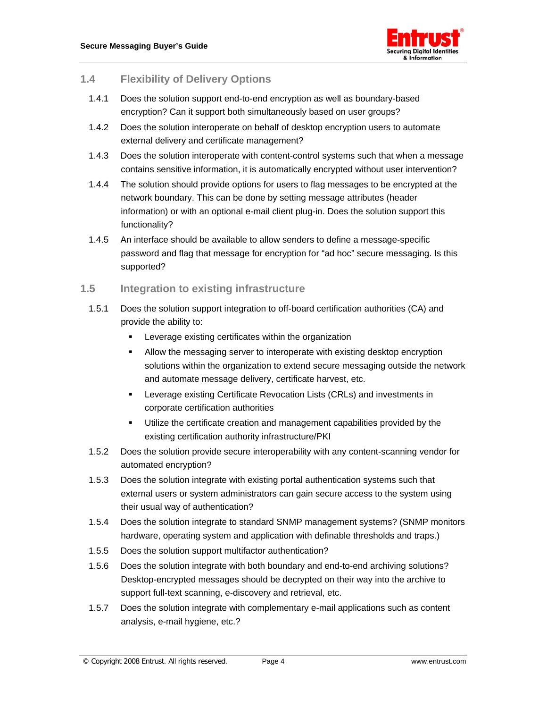

#### <span id="page-6-0"></span>**1.4 Flexibility of Delivery Options**

- 1.4.1 Does the solution support end-to-end encryption as well as boundary-based encryption? Can it support both simultaneously based on user groups?
- 1.4.2 Does the solution interoperate on behalf of desktop encryption users to automate external delivery and certificate management?
- 1.4.3 Does the solution interoperate with content-control systems such that when a message contains sensitive information, it is automatically encrypted without user intervention?
- 1.4.4 The solution should provide options for users to flag messages to be encrypted at the network boundary. This can be done by setting message attributes (header information) or with an optional e-mail client plug-in. Does the solution support this functionality?
- 1.4.5 An interface should be available to allow senders to define a message-specific password and flag that message for encryption for "ad hoc" secure messaging. Is this supported?

#### **1.5 Integration to existing infrastructure**

- 1.5.1 Does the solution support integration to off-board certification authorities (CA) and provide the ability to:
	- **EXECTE EXECTED** Leverage existing certificates within the organization
	- Allow the messaging server to interoperate with existing desktop encryption solutions within the organization to extend secure messaging outside the network and automate message delivery, certificate harvest, etc.
	- **EXECTE AT A Leverage existing Certificate Revocation Lists (CRLs) and investments in** corporate certification authorities
	- **Utilize the certificate creation and management capabilities provided by the** existing certification authority infrastructure/PKI
- 1.5.2 Does the solution provide secure interoperability with any content-scanning vendor for automated encryption?
- 1.5.3 Does the solution integrate with existing portal authentication systems such that external users or system administrators can gain secure access to the system using their usual way of authentication?
- 1.5.4 Does the solution integrate to standard SNMP management systems? (SNMP monitors hardware, operating system and application with definable thresholds and traps.)
- 1.5.5 Does the solution support multifactor authentication?
- 1.5.6 Does the solution integrate with both boundary and end-to-end archiving solutions? Desktop-encrypted messages should be decrypted on their way into the archive to support full-text scanning, e-discovery and retrieval, etc.
- 1.5.7 Does the solution integrate with complementary e-mail applications such as content analysis, e-mail hygiene, etc.?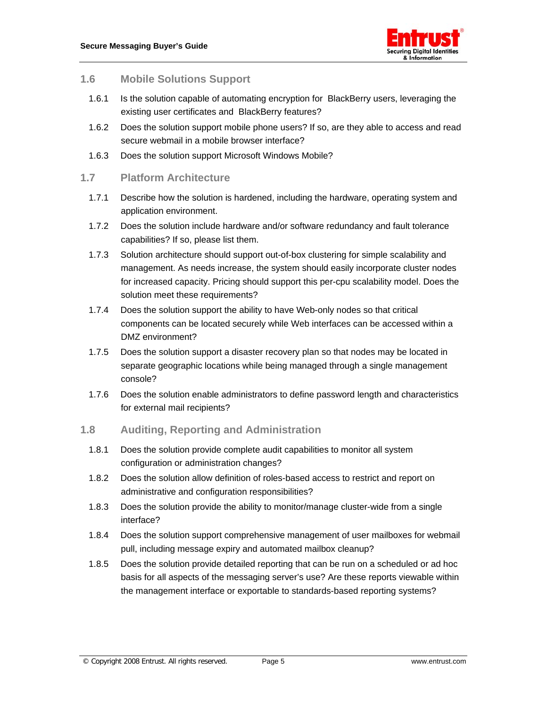

#### <span id="page-7-0"></span>**1.6 Mobile Solutions Support**

- 1.6.1 Is the solution capable of automating encryption for BlackBerry users, leveraging the existing user certificates and BlackBerry features?
- 1.6.2 Does the solution support mobile phone users? If so, are they able to access and read secure webmail in a mobile browser interface?
- 1.6.3 Does the solution support Microsoft Windows Mobile?

#### **1.7 Platform Architecture**

- 1.7.1 Describe how the solution is hardened, including the hardware, operating system and application environment.
- 1.7.2 Does the solution include hardware and/or software redundancy and fault tolerance capabilities? If so, please list them.
- 1.7.3 Solution architecture should support out-of-box clustering for simple scalability and management. As needs increase, the system should easily incorporate cluster nodes for increased capacity. Pricing should support this per-cpu scalability model. Does the solution meet these requirements?
- 1.7.4 Does the solution support the ability to have Web-only nodes so that critical components can be located securely while Web interfaces can be accessed within a DMZ environment?
- 1.7.5 Does the solution support a disaster recovery plan so that nodes may be located in separate geographic locations while being managed through a single management console?
- 1.7.6 Does the solution enable administrators to define password length and characteristics for external mail recipients?

#### **1.8 Auditing, Reporting and Administration**

- 1.8.1 Does the solution provide complete audit capabilities to monitor all system configuration or administration changes?
- 1.8.2 Does the solution allow definition of roles-based access to restrict and report on administrative and configuration responsibilities?
- 1.8.3 Does the solution provide the ability to monitor/manage cluster-wide from a single interface?
- 1.8.4 Does the solution support comprehensive management of user mailboxes for webmail pull, including message expiry and automated mailbox cleanup?
- 1.8.5 Does the solution provide detailed reporting that can be run on a scheduled or ad hoc basis for all aspects of the messaging server's use? Are these reports viewable within the management interface or exportable to standards-based reporting systems?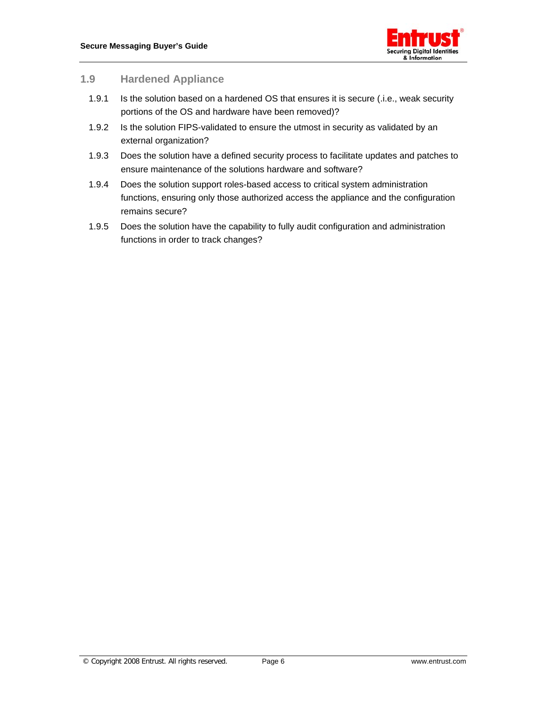

#### <span id="page-8-0"></span>**1.9 Hardened Appliance**

- 1.9.1 Is the solution based on a hardened OS that ensures it is secure (.i.e., weak security portions of the OS and hardware have been removed)?
- 1.9.2 Is the solution FIPS-validated to ensure the utmost in security as validated by an external organization?
- 1.9.3 Does the solution have a defined security process to facilitate updates and patches to ensure maintenance of the solutions hardware and software?
- 1.9.4 Does the solution support roles-based access to critical system administration functions, ensuring only those authorized access the appliance and the configuration remains secure?
- 1.9.5 Does the solution have the capability to fully audit configuration and administration functions in order to track changes?